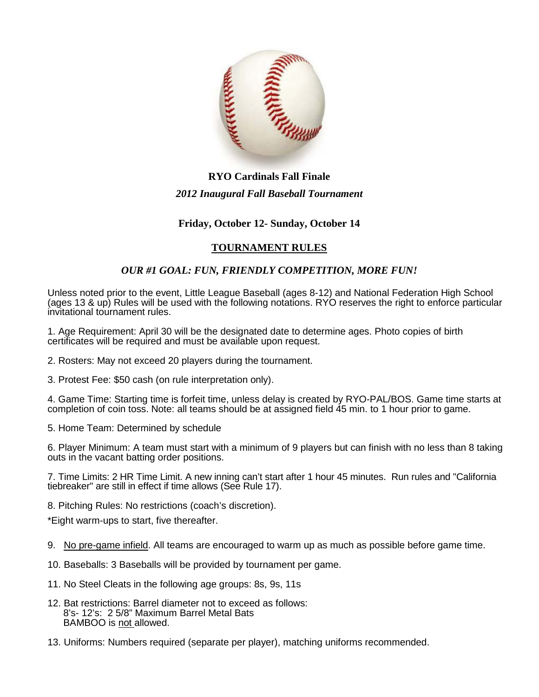

## **RYO Cardinals Fall Finale** *2012 Inaugural Fall Baseball Tournament*

## **Friday, October 12- Sunday, October 14**

## **TOURNAMENT RULES**

## *OUR #1 GOAL: FUN, FRIENDLY COMPETITION, MORE FUN!*

Unless noted prior to the event, Little League Baseball (ages 8-12) and National Federation High School (ages 13 & up) Rules will be used with the following notations. RYO reserves the right to enforce particular invitational tournament rules.

1. Age Requirement: April 30 will be the designated date to determine ages. Photo copies of birth certificates will be required and must be available upon request.

- 2. Rosters: May not exceed 20 players during the tournament.
- 3. Protest Fee: \$50 cash (on rule interpretation only).

4. Game Time: Starting time is forfeit time, unless delay is created by RYO-PAL/BOS. Game time starts at completion of coin toss. Note: all teams should be at assigned field 45 min. to 1 hour prior to game.

5. Home Team: Determined by schedule

6. Player Minimum: A team must start with a minimum of 9 players but can finish with no less than 8 taking outs in the vacant batting order positions.

7. Time Limits: 2 HR Time Limit. A new inning can't start after 1 hour 45 minutes. Run rules and "California tiebreaker" are still in effect if time allows (See Rule 17).

8. Pitching Rules: No restrictions (coach's discretion).

\*Eight warm-ups to start, five thereafter.

- 9. No pre-game infield. All teams are encouraged to warm up as much as possible before game time.
- 10. Baseballs: 3 Baseballs will be provided by tournament per game.
- 11. No Steel Cleats in the following age groups: 8s, 9s, 11s
- 12. Bat restrictions: Barrel diameter not to exceed as follows: 8's- 12's: 2 5/8" Maximum Barrel Metal Bats BAMBOO is not allowed.
- 13. Uniforms: Numbers required (separate per player), matching uniforms recommended.